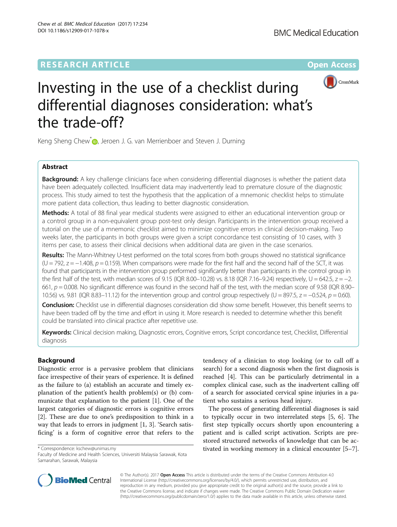## **RESEARCH ARTICLE Example 2014 12:30 The Contract of Contract ACCESS**



# Investing in the use of a checklist during differential diagnoses consideration: what's the trade-off?

Keng Sheng Chew<sup>\*</sup> [,](http://orcid.org/0000-0002-6326-8210) Jeroen J. G. van Merrienboer and Steven J. Durning

## Abstract

**Background:** A key challenge clinicians face when considering differential diagnoses is whether the patient data have been adequately collected. Insufficient data may inadvertently lead to premature closure of the diagnostic process. This study aimed to test the hypothesis that the application of a mnemonic checklist helps to stimulate more patient data collection, thus leading to better diagnostic consideration.

Methods: A total of 88 final year medical students were assigned to either an educational intervention group or a control group in a non-equivalent group post-test only design. Participants in the intervention group received a tutorial on the use of a mnemonic checklist aimed to minimize cognitive errors in clinical decision-making. Two weeks later, the participants in both groups were given a script concordance test consisting of 10 cases, with 3 items per case, to assess their clinical decisions when additional data are given in the case scenarios.

Results: The Mann-Whitney U-test performed on the total scores from both groups showed no statistical significance  $(U = 792, z = -1.408, p = 0.159)$ . When comparisons were made for the first half and the second half of the SCT, it was found that participants in the intervention group performed significantly better than participants in the control group in the first half of the test, with median scores of 9.15 (IQR 8.00–10.28) vs. 8.18 (IQR 7.16–9.24) respectively,  $U = 642.5$ ,  $z = -2$ . 661,  $p = 0.008$ . No significant difference was found in the second half of the test, with the median score of 9.58 (IQR 8.90– 10.56) vs. 9.81 (IQR 8.83–11.12) for the intervention group and control group respectively (U = 897.5,  $z = -0.524$ ,  $p = 0.60$ ).

Conclusion: Checklist use in differential diagnoses consideration did show some benefit. However, this benefit seems to have been traded off by the time and effort in using it. More research is needed to determine whether this benefit could be translated into clinical practice after repetitive use.

Keywords: Clinical decision making, Diagnostic errors, Cognitive errors, Script concordance test, Checklist, Differential diagnosis

## Background

Diagnostic error is a pervasive problem that clinicians face irrespective of their years of experience. It is defined as the failure to (a) establish an accurate and timely explanation of the patient's health problem(s) or (b) communicate that explanation to the patient [[1](#page-5-0)]. One of the largest categories of diagnostic errors is cognitive errors [[2\]](#page-5-0). These are due to one's predisposition to think in a way that leads to errors in judgment [\[1](#page-5-0), [3](#page-5-0)]. 'Search satisficing' is a form of cognitive error that refers to the

Faculty of Medicine and Health Sciences, Universiti Malaysia Sarawak, Kota Samarahan, Sarawak, Malaysia

tendency of a clinician to stop looking (or to call off a search) for a second diagnosis when the first diagnosis is reached [[4\]](#page-5-0). This can be particularly detrimental in a complex clinical case, such as the inadvertent calling off of a search for associated cervical spine injuries in a patient who sustains a serious head injury.

The process of generating differential diagnoses is said to typically occur in two interrelated steps [[5, 6](#page-5-0)]. The first step typically occurs shortly upon encountering a patient and is called script activation. Scripts are prestored structured networks of knowledge that can be ac- \* Correspondence: [kschew@unimas.my](mailto:kschew@unimas.my) tivated in working memory in a clinical encounter [\[5](#page-5-0)–[7](#page-5-0)].



© The Author(s). 2017 **Open Access** This article is distributed under the terms of the Creative Commons Attribution 4.0 International License [\(http://creativecommons.org/licenses/by/4.0/](http://creativecommons.org/licenses/by/4.0/)), which permits unrestricted use, distribution, and reproduction in any medium, provided you give appropriate credit to the original author(s) and the source, provide a link to the Creative Commons license, and indicate if changes were made. The Creative Commons Public Domain Dedication waiver [\(http://creativecommons.org/publicdomain/zero/1.0/](http://creativecommons.org/publicdomain/zero/1.0/)) applies to the data made available in this article, unless otherwise stated.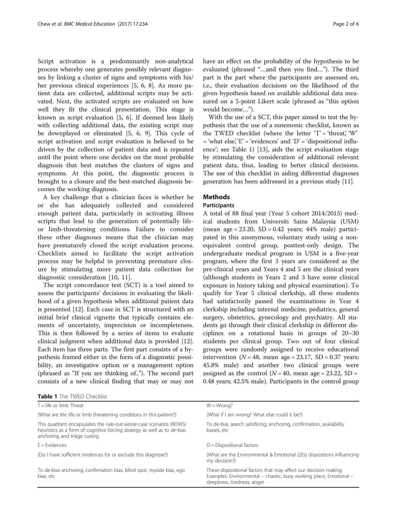Script activation is a predominantly non-analytical process whereby one generates possibly relevant diagnoses by linking a cluster of signs and symptoms with his/ her previous clinical experiences [\[5](#page-5-0), [6, 8\]](#page-5-0). As more patient data are collected, additional scripts may be activated. Next, the activated scripts are evaluated on how well they fit the clinical presentation. This stage is known as script evaluation [[5, 6](#page-5-0)]. If deemed less likely with collecting additional data, the existing script may be downplayed or eliminated [\[5, 6, 9](#page-5-0)]. This cycle of script activation and script evaluation is believed to be driven by the collection of patient data and is repeated until the point where one decides on the most probable diagnosis that best matches the clusters of signs and symptoms. At this point, the diagnostic process is brought to a closure and the best-matched diagnosis becomes the working diagnosis.

A key challenge that a clinician faces is whether he or she has adequately collected and considered enough patient data, particularly in activating illness scripts that lead to the generation of potentially lifeor limb-threatening conditions. Failure to consider these other diagnoses means that the clinician may have prematurely closed the script evaluation process. Checklists aimed to facilitate the script activation process may be helpful in preventing premature closure by stimulating more patient data collection for diagnostic consideration [\[10](#page-5-0), [11\]](#page-5-0).

The script concordance test (SCT) is a tool aimed to assess the participants' decisions in evaluating the likelihood of a given hypothesis when additional patient data is presented [[12\]](#page-5-0). Each case in SCT is structured with an initial brief clinical vignette that typically contains elements of uncertainty, imprecision or incompleteness. This is then followed by a series of items to evaluate clinical judgment when additional data is provided [\[12](#page-5-0)]. Each item has three parts. The first part consists of a hypothesis framed either in the form of a diagnostic possibility, an investigative option or a management option (phrased as "If you are thinking of.."). The second part consists of a new clinical finding that may or may not

Table 1 The TWED Checklist

have an effect on the probability of the hypothesis to be evaluated (phrased "…and then you find…"). The third part is the part where the participants are assessed on, i.e., their evaluation decisions on the likelihood of the given hypothesis based on available additional data measured on a 5-point Likert scale (phrased as "this option would become…").

With the use of a SCT, this paper aimed to test the hypothesis that the use of a mnemonic checklist, known as the TWED checklist (where the letter  $T' = '$ threat', 'W'  $=$  'what else', 'E'  $=$  'evidences' and 'D'  $=$  'dispositional influence'; see Table 1) [\[13\]](#page-5-0), aids the script evaluation stage by stimulating the consideration of additional relevant patient data, thus, leading to better clinical decisions. The use of this checklist in aiding differential diagnoses generation has been addressed in a previous study [[11](#page-5-0)].

## **Methods**

## Participants

A total of 88 final year (Year 5 cohort 2014/2015) medical students from Universiti Sains Malaysia (USM) (mean age =  $23.20$ , SD =  $0.42$  years;  $44\%$  male) participated in this anonymous, voluntary study using a nonequivalent control group, posttest-only design. The undergraduate medical program in USM is a five-year program, where the first 3 years are considered as the pre-clinical years and Years 4 and 5 are the clinical years (although students in Years 2 and 3 have some clinical exposure in history taking and physical examination). To qualify for Year 5 clinical clerkship, all these students had satisfactorily passed the examinations in Year 4 clerkship including internal medicine, pediatrics, general surgery, obstetrics, gynecology and psychiatry. All students go through their clinical clerkship in different disciplines on a rotational basis in groups of 20–30 students per clinical group. Two out of four clinical groups were randomly assigned to receive educational intervention ( $N = 48$ , mean age = 23.17, SD = 0.37 years; 45.8% male) and another two clinical groups were assigned as the control ( $N = 40$ , mean age = 23.22, SD = 0.48 years; 42.5% male). Participants in the control group

| T = life or limb Threat                                                                                                                                                        | $W = Wronq?$                                                                                                                                                           |
|--------------------------------------------------------------------------------------------------------------------------------------------------------------------------------|------------------------------------------------------------------------------------------------------------------------------------------------------------------------|
| (What are the life or limb threatening conditions in this patient?)                                                                                                            | (What if I am wrong? What else could it be?)                                                                                                                           |
| This quadrant encapsulates the rule-out-worse-case scenarios (ROWS)<br>heuristics as a form of cognitive forcing strategy as well as to de-bias<br>anchoring and triage cueing | To de-bias search satisficing, anchoring, confirmation, availability<br>biases, etc                                                                                    |
| $E =$ Evidences                                                                                                                                                                | $D = Dispositional factors$                                                                                                                                            |
| (Do I have sufficient evidences for or exclude this diagnose?)                                                                                                                 | (What are the Environmental & Emotional (2Es) dispositions influencing<br>my decision?)                                                                                |
| To de-bias anchoring, confirmation bias, blind spot, myside bias, ego<br>bias, etc                                                                                             | These dispositional factors that may affect our decision making.<br>Examples: Environmental – chaotic, busy working place, Emotional –<br>sleepiness, tiredness, anger |
|                                                                                                                                                                                |                                                                                                                                                                        |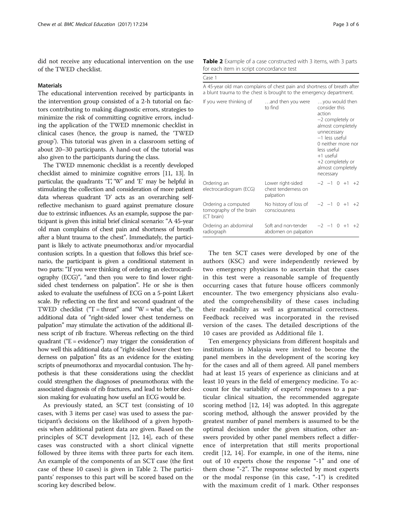did not receive any educational intervention on the use of the TWED checklist.

## Materials

The educational intervention received by participants in the intervention group consisted of a 2-h tutorial on factors contributing to making diagnostic errors, strategies to minimize the risk of committing cognitive errors, including the application of the TWED mnemonic checklist in clinical cases (hence, the group is named, the 'TWED group'). This tutorial was given in a classroom setting of about 20–30 participants. A hand-out of the tutorial was also given to the participants during the class.

The TWED mnemonic checklist is a recently developed checklist aimed to minimize cognitive errors [\[11, 13\]](#page-5-0). In particular, the quadrants 'T', 'W' and 'E' may be helpful in stimulating the collection and consideration of more patient data whereas quadrant 'D' acts as an overarching selfreflective mechanism to guard against premature closure due to extrinsic influences. As an example, suppose the participant is given this initial brief clinical scenario: "A 45-year old man complains of chest pain and shortness of breath after a blunt trauma to the chest". Immediately, the participant is likely to activate pneumothorax and/or myocardial contusion scripts. In a question that follows this brief scenario, the participant is given a conditional statement in two parts: "If you were thinking of ordering an electrocardiography (ECG)", "and then you were to find lower rightsided chest tenderness on palpation". He or she is then asked to evaluate the usefulness of ECG on a 5-point Likert scale. By reflecting on the first and second quadrant of the TWED checklist ("T = threat" and "W = what else"), the additional data of "right-sided lower chest tenderness on palpation" may stimulate the activation of the additional illness script of rib fracture. Whereas reflecting on the third quadrant ("E = evidence") may trigger the consideration of how well this additional data of "right-sided lower chest tenderness on palpation" fits as an evidence for the existing scripts of pneumothorax and myocardial contusion. The hypothesis is that these considerations using the checklist could strengthen the diagnoses of pneumothorax with the associated diagnosis of rib fractures, and lead to better decision making for evaluating how useful an ECG would be.

As previously stated, an SCT test (consisting of 10 cases, with 3 items per case) was used to assess the participant's decisions on the likelihood of a given hypothesis when additional patient data are given. Based on the principles of SCT development [\[12](#page-5-0), [14\]](#page-5-0), each of these cases was constructed with a short clinical vignette followed by three items with three parts for each item. An example of the components of an SCT case (the first case of these 10 cases) is given in Table 2. The participants' responses to this part will be scored based on the scoring key described below.

|  | Table 2 Example of a case constructed with 3 items, with 3 parts |  |  |  |
|--|------------------------------------------------------------------|--|--|--|
|  | for each item in script concordance test                         |  |  |  |

| for each item in script concordance test                                                                                                       |                                                       |                                                                                                                                                                                                                             |  |  |      |
|------------------------------------------------------------------------------------------------------------------------------------------------|-------------------------------------------------------|-----------------------------------------------------------------------------------------------------------------------------------------------------------------------------------------------------------------------------|--|--|------|
| Case 1                                                                                                                                         |                                                       |                                                                                                                                                                                                                             |  |  |      |
| A 45-year old man complains of chest pain and shortness of breath after<br>a blunt trauma to the chest is brought to the emergency department. |                                                       |                                                                                                                                                                                                                             |  |  |      |
| If you were thinking of                                                                                                                        | and then you were<br>to find                          | you would then<br>consider this<br>action<br>-2 completely or<br>almost completely<br>unnecessary<br>-1 less useful<br>0 neither more nor<br>less useful<br>+1 useful<br>+2 completely or<br>almost completely<br>necessary |  |  |      |
| Ordering an<br>electrocardiogram (ECG)                                                                                                         | Lower right-sided<br>chest tenderness on<br>palpation | $-2$ $-1$ 0 $+1$ $+2$                                                                                                                                                                                                       |  |  |      |
| Ordering a computed<br>tomography of the brain<br>(CT brain)                                                                                   | No history of loss of<br>consciousness                | $-2$ $-1$ 0 $+1$ $+2$                                                                                                                                                                                                       |  |  |      |
| Ordering an abdominal<br>radiograph                                                                                                            | Soft and non-tender<br>abdomen on palpation           | $-2$ $-1$ 0 $+1$                                                                                                                                                                                                            |  |  | $+2$ |

The ten SCT cases were developed by one of the authors (KSC) and were independently reviewed by two emergency physicians to ascertain that the cases in this test were a reasonable sample of frequently occurring cases that future house officers commonly encounter. The two emergency physicians also evaluated the comprehensibility of these cases including their readability as well as grammatical correctness. Feedback received was incorporated in the revised version of the cases. The detailed descriptions of the 10 cases are provided as Additional file [1](#page-5-0).

Ten emergency physicians from different hospitals and institutions in Malaysia were invited to become the panel members in the development of the scoring key for the cases and all of them agreed. All panel members had at least 15 years of experience as clinicians and at least 10 years in the field of emergency medicine. To account for the variability of experts' responses to a particular clinical situation, the recommended aggregate scoring method [\[12, 14\]](#page-5-0) was adopted. In this aggregate scoring method, although the answer provided by the greatest number of panel members is assumed to be the optimal decision under the given situation, other answers provided by other panel members reflect a difference of interpretation that still merits proportional credit [[12, 14\]](#page-5-0). For example, in one of the items, nine out of 10 experts chose the response "-1" and one of them chose "-2". The response selected by most experts or the modal response (in this case, "-1") is credited with the maximum credit of 1 mark. Other responses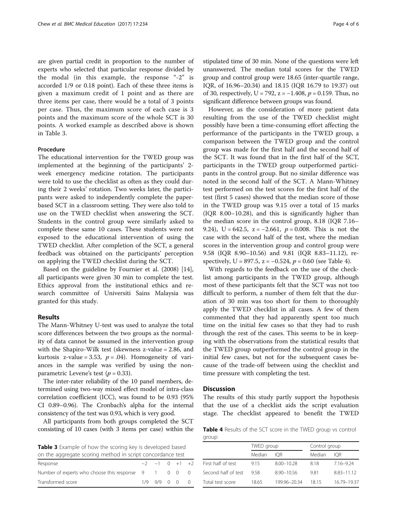are given partial credit in proportion to the number of experts who selected that particular response divided by the modal (in this example, the response "-2" is accorded 1/9 or 0.18 point). Each of these three items is given a maximum credit of 1 point and as there are three items per case, there would be a total of 3 points per case. Thus, the maximum score of each case is 3 points and the maximum score of the whole SCT is 30 points. A worked example as described above is shown in Table 3.

## Procedure

The educational intervention for the TWED group was implemented at the beginning of the participants' 2 week emergency medicine rotation. The participants were told to use the checklist as often as they could during their 2 weeks' rotation. Two weeks later, the participants were asked to independently complete the paperbased SCT in a classroom setting. They were also told to use on the TWED checklist when answering the SCT. Students in the control group were similarly asked to complete these same 10 cases. These students were not exposed to the educational intervention of using the TWED checklist. After completion of the SCT, a general feedback was obtained on the participants' perception on applying the TWED checklist during the SCT.

Based on the guideline by Fournier et al. (2008) [\[14](#page-5-0)], all participants were given 30 min to complete the test. Ethics approval from the institutional ethics and research committee of Universiti Sains Malaysia was granted for this study.

## Results

The Mann-Whitney U-test was used to analyze the total score differences between the two groups as the normality of data cannot be assumed in the intervention group with the Shapiro-Wilk test (skewness z-value = 2.86, and kurtosis z-value = 3.53,  $p = .04$ ). Homogeneity of variances in the sample was verified by using the nonparametric Levene's test ( $p = 0.33$ ).

The inter-rater reliability of the 10 panel members, determined using two-way mixed effect model of intra-class correlation coefficient (ICC), was found to be 0.93 (95% CI 0.89–0.96). The Cronbach's alpha for the internal consistency of the test was 0.93, which is very good.

All participants from both groups completed the SCT consisting of 10 cases (with 3 items per case) within the

**Table 3** Example of how the scoring key is developed based on the aggregate scoring method in script concordance test

| UIT LITE ayyITCYALE SCUTTING THELITUM ITT SCITUL CUTICULUATICE LESL |  |                       |  |  |  |  |
|---------------------------------------------------------------------|--|-----------------------|--|--|--|--|
| Response                                                            |  | $-2$ $-1$ 0 $+1$ $+2$ |  |  |  |  |
| Number of experts who choose this response 9 1 0 0 0                |  |                       |  |  |  |  |
| Transformed score                                                   |  | $1/9$ 9/9 0 0 0       |  |  |  |  |

stipulated time of 30 min. None of the questions were left unanswered. The median total scores for the TWED group and control group were 18.65 (inter-quartile range, IQR, of 16.96–20.34) and 18.15 (IQR 16.79 to 19.37) out of 30, respectively, U = 792, z =  $-1.408$ ,  $p = 0.159$ . Thus, no significant difference between groups was found.

However, as the consideration of more patient data resulting from the use of the TWED checklist might possibly have been a time-consuming effort affecting the performance of the participants in the TWED group, a comparison between the TWED group and the control group was made for the first half and the second half of the SCT. It was found that in the first half of the SCT, participants in the TWED group outperformed participants in the control group. But no similar difference was noted in the second half of the SCT. A Mann-Whitney test performed on the test scores for the first half of the test (first 5 cases) showed that the median score of those in the TWED group was 9.15 over a total of 15 marks (IQR 8.00–10.28), and this is significantly higher than the median score in the control group, 8.18 (IQR 7.16– 9.24), U = 642.5,  $z = -2.661$ ,  $p = 0.008$ . This is not the case with the second half of the test, where the median scores in the intervention group and control group were 9.58 (IQR 8.90–10.56) and 9.81 (IQR 8.83–11.12), respectively, U = 897.5,  $z = -0.524$ ,  $p = 0.60$  (see Table 4).

With regards to the feedback on the use of the checklist among participants in the TWED group, although most of these participants felt that the SCT was not too difficult to perform, a number of them felt that the duration of 30 min was too short for them to thoroughly apply the TWED checklist in all cases. A few of them commented that they had apparently spent too much time on the initial few cases so that they had to rush through the rest of the cases. This seems to be in keeping with the observations from the statistical results that the TWED group outperformed the control group in the initial few cases, but not for the subsequent cases because of the trade-off between using the checklist and time pressure with completing the test.

#### **Discussion**

The results of this study partly support the hypothesis that the use of a checklist aids the script evaluation stage. The checklist appeared to benefit the TWED

**Table 4** Results of the SCT score in the TWED group vs control group

|                     | TWED group |                | Control group |             |  |
|---------------------|------------|----------------|---------------|-------------|--|
|                     | Median     | IOR.           | Median        | IOR         |  |
| First half of test  | 915        | $8.00 - 10.28$ | 818           | 7.16-9.24   |  |
| Second half of test | 958        | 8.90-10.56     | 9.81          | 8.83-11.12  |  |
| Total test score    | 18.65      | 199.96-20.34   | 1815          | 16.79-19.37 |  |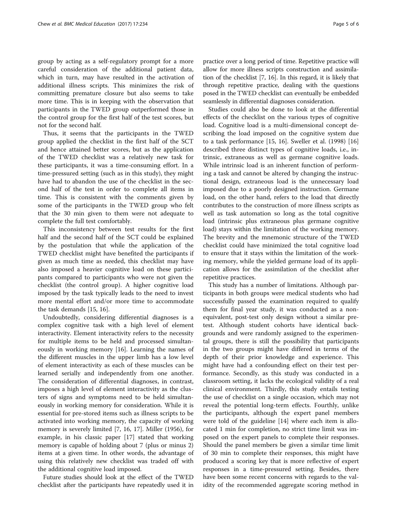group by acting as a self-regulatory prompt for a more careful consideration of the additional patient data, which in turn, may have resulted in the activation of additional illness scripts. This minimizes the risk of committing premature closure but also seems to take more time. This is in keeping with the observation that participants in the TWED group outperformed those in the control group for the first half of the test scores, but not for the second half.

Thus, it seems that the participants in the TWED group applied the checklist in the first half of the SCT and hence attained better scores, but as the application of the TWED checklist was a relatively new task for these participants, it was a time-consuming effort. In a time-pressured setting (such as in this study), they might have had to abandon the use of the checklist in the second half of the test in order to complete all items in time. This is consistent with the comments given by some of the participants in the TWED group who felt that the 30 min given to them were not adequate to complete the full test comfortably.

This inconsistency between test results for the first half and the second half of the SCT could be explained by the postulation that while the application of the TWED checklist might have benefited the participants if given as much time as needed, this checklist may have also imposed a heavier cognitive load on these participants compared to participants who were not given the checklist (the control group). A higher cognitive load imposed by the task typically leads to the need to invest more mental effort and/or more time to accommodate the task demands [[15](#page-5-0), [16](#page-5-0)].

Undoubtedly, considering differential diagnoses is a complex cognitive task with a high level of element interactivity. Element interactivity refers to the necessity for multiple items to be held and processed simultaneously in working memory [\[16](#page-5-0)]. Learning the names of the different muscles in the upper limb has a low level of element interactivity as each of these muscles can be learned serially and independently from one another. The consideration of differential diagnoses, in contrast, imposes a high level of element interactivity as the clusters of signs and symptoms need to be held simultaneously in working memory for consideration. While it is essential for pre-stored items such as illness scripts to be activated into working memory, the capacity of working memory is severely limited [[7, 16, 17](#page-5-0)]. Miller (1956), for example, in his classic paper [\[17](#page-5-0)] stated that working memory is capable of holding about 7 (plus or minus 2) items at a given time. In other words, the advantage of using this relatively new checklist was traded off with the additional cognitive load imposed.

Future studies should look at the effect of the TWED checklist after the participants have repeatedly used it in

practice over a long period of time. Repetitive practice will allow for more illness scripts construction and assimilation of the checklist [\[7, 16\]](#page-5-0). In this regard, it is likely that through repetitive practice, dealing with the questions posed in the TWED checklist can eventually be embedded seamlessly in differential diagnoses consideration.

Studies could also be done to look at the differential effects of the checklist on the various types of cognitive load. Cognitive load is a multi-dimensional concept describing the load imposed on the cognitive system due to a task performance [[15](#page-5-0), [16\]](#page-5-0). Sweller et al. (1998) [[16](#page-5-0)] described three distinct types of cognitive loads, i.e., intrinsic, extraneous as well as germane cognitive loads. While intrinsic load is an inherent function of performing a task and cannot be altered by changing the instructional design, extraneous load is the unnecessary load imposed due to a poorly designed instruction. Germane load, on the other hand, refers to the load that directly contributes to the construction of more illness scripts as well as task automation so long as the total cognitive load (intrinsic plus extraneous plus germane cognitive load) stays within the limitation of the working memory. The brevity and the mnemonic structure of the TWED checklist could have minimized the total cognitive load to ensure that it stays within the limitation of the working memory, while the yielded germane load of its application allows for the assimilation of the checklist after repetitive practices.

This study has a number of limitations. Although participants in both groups were medical students who had successfully passed the examination required to qualify them for final year study, it was conducted as a nonequivalent, post-test only design without a similar pretest. Although student cohorts have identical backgrounds and were randomly assigned to the experimental groups, there is still the possibility that participants in the two groups might have differed in terms of the depth of their prior knowledge and experience. This might have had a confounding effect on their test performance. Secondly, as this study was conducted in a classroom setting, it lacks the ecological validity of a real clinical environment. Thirdly, this study entails testing the use of checklist on a single occasion, which may not reveal the potential long-term effects. Fourthly, unlike the participants, although the expert panel members were told of the guideline [\[14](#page-5-0)] where each item is allocated 1 min for completion, no strict time limit was imposed on the expert panels to complete their responses. Should the panel members be given a similar time limit of 30 min to complete their responses, this might have produced a scoring key that is more reflective of expert responses in a time-pressured setting. Besides, there have been some recent concerns with regards to the validity of the recommended aggregate scoring method in